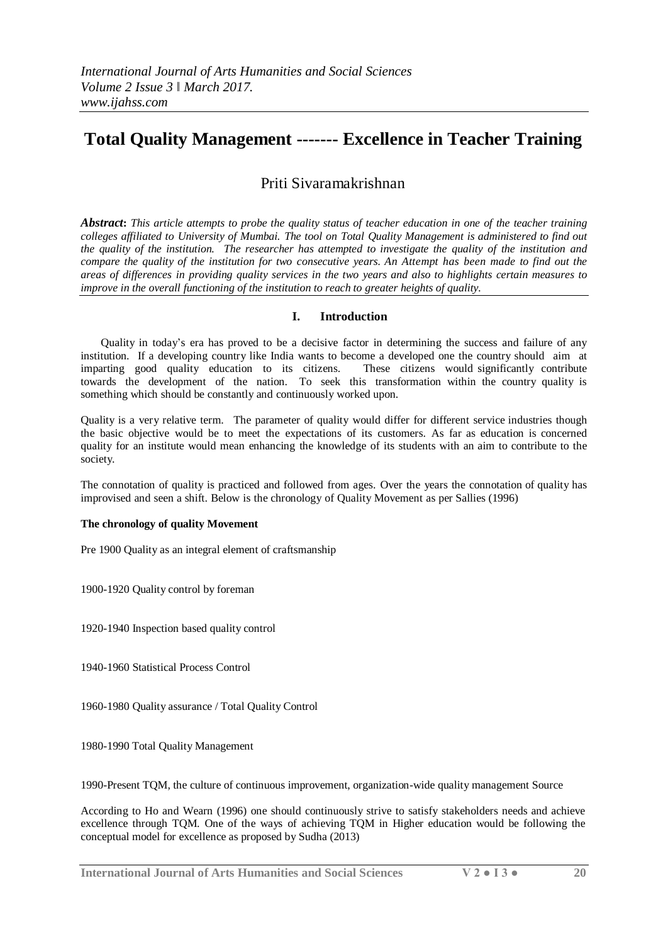# **Total Quality Management ------- Excellence in Teacher Training**

## Priti Sivaramakrishnan

**Abstract:** This article attempts to probe the quality status of teacher education in one of the teacher training *colleges affiliated to University of Mumbai. The tool on Total Quality Management is administered to find out the quality of the institution. The researcher has attempted to investigate the quality of the institution and compare the quality of the institution for two consecutive years. An Attempt has been made to find out the areas of differences in providing quality services in the two years and also to highlights certain measures to improve in the overall functioning of the institution to reach to greater heights of quality.*

## **I. Introduction**

Quality in today's era has proved to be a decisive factor in determining the success and failure of any institution. If a developing country like India wants to become a developed one the country should aim at imparting good quality education to its citizens. These citizens would significantly contribute towards the development of the nation. To seek this transformation within the country quality is something which should be constantly and continuously worked upon.

Quality is a very relative term. The parameter of quality would differ for different service industries though the basic objective would be to meet the expectations of its customers. As far as education is concerned quality for an institute would mean enhancing the knowledge of its students with an aim to contribute to the society.

The connotation of quality is practiced and followed from ages. Over the years the connotation of quality has improvised and seen a shift. Below is the chronology of Quality Movement as per Sallies (1996)

## **The chronology of quality Movement**

Pre 1900 Quality as an integral element of craftsmanship

1900-1920 Quality control by foreman

1920-1940 Inspection based quality control

1940-1960 Statistical Process Control

1960-1980 Quality assurance / Total Quality Control

1980-1990 Total Quality Management

1990-Present TQM, the culture of continuous improvement, organization-wide quality management Source

According to Ho and Wearn (1996) one should continuously strive to satisfy stakeholders needs and achieve excellence through TQM. One of the ways of achieving TQM in Higher education would be following the conceptual model for excellence as proposed by Sudha (2013)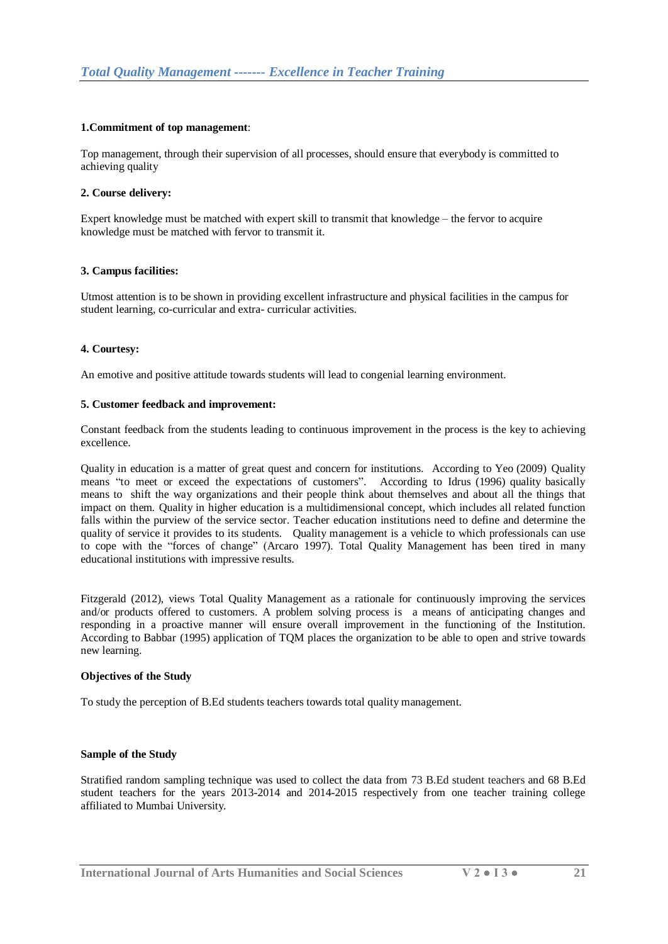## **1.Commitment of top management**:

Top management, through their supervision of all processes, should ensure that everybody is committed to achieving quality

## **2. Course delivery:**

Expert knowledge must be matched with expert skill to transmit that knowledge – the fervor to acquire knowledge must be matched with fervor to transmit it.

## **3. Campus facilities:**

Utmost attention is to be shown in providing excellent infrastructure and physical facilities in the campus for student learning, co-curricular and extra- curricular activities.

## **4. Courtesy:**

An emotive and positive attitude towards students will lead to congenial learning environment.

## **5. Customer feedback and improvement:**

Constant feedback from the students leading to continuous improvement in the process is the key to achieving excellence.

Quality in education is a matter of great quest and concern for institutions. According to Yeo (2009) Quality means "to meet or exceed the expectations of customers". According to Idrus (1996) quality basically means to shift the way organizations and their people think about themselves and about all the things that impact on them. Quality in higher education is a multidimensional concept, which includes all related function falls within the purview of the service sector. Teacher education institutions need to define and determine the quality of service it provides to its students. Quality management is a vehicle to which professionals can use to cope with the "forces of change" (Arcaro 1997). Total Quality Management has been tired in many educational institutions with impressive results.

Fitzgerald (2012), views Total Quality Management as a rationale for continuously improving the services and/or products offered to customers. A problem solving process is a means of anticipating changes and responding in a proactive manner will ensure overall improvement in the functioning of the Institution. According to Babbar (1995) application of TQM places the organization to be able to open and strive towards new learning.

## **Objectives of the Study**

To study the perception of B.Ed students teachers towards total quality management.

## **Sample of the Study**

Stratified random sampling technique was used to collect the data from 73 B.Ed student teachers and 68 B.Ed student teachers for the years 2013-2014 and 2014-2015 respectively from one teacher training college affiliated to Mumbai University.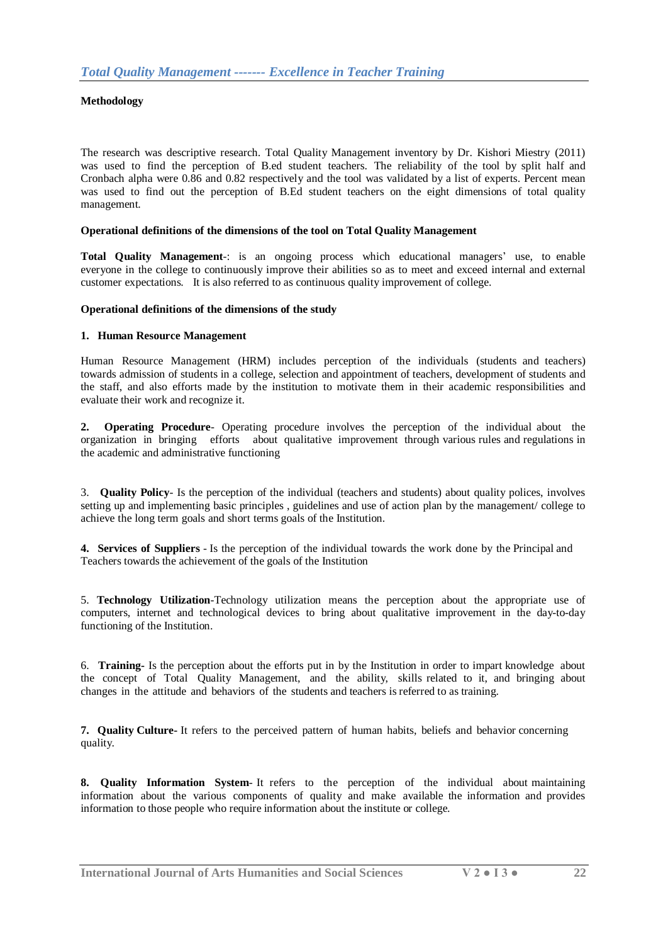## **Methodology**

The research was descriptive research. Total Quality Management inventory by Dr. Kishori Miestry (2011) was used to find the perception of B.ed student teachers. The reliability of the tool by split half and Cronbach alpha were 0.86 and 0.82 respectively and the tool was validated by a list of experts. Percent mean was used to find out the perception of B.Ed student teachers on the eight dimensions of total quality management.

## **Operational definitions of the dimensions of the tool on Total Quality Management**

**Total Quality Management**-: is an ongoing process which educational managers' use, to enable everyone in the college to continuously improve their abilities so as to meet and exceed internal and external customer expectations. It is also referred to as continuous quality improvement of college.

#### **Operational definitions of the dimensions of the study**

#### **1. Human Resource Management**

Human Resource Management (HRM) includes perception of the individuals (students and teachers) towards admission of students in a college, selection and appointment of teachers, development of students and the staff, and also efforts made by the institution to motivate them in their academic responsibilities and evaluate their work and recognize it.

**2. Operating Procedure**- Operating procedure involves the perception of the individual about the organization in bringing efforts about qualitative improvement through various rules and regulations in the academic and administrative functioning

3. **Quality Policy**- Is the perception of the individual (teachers and students) about quality polices, involves setting up and implementing basic principles , guidelines and use of action plan by the management/ college to achieve the long term goals and short terms goals of the Institution.

**4. Services of Suppliers** - Is the perception of the individual towards the work done by the Principal and Teachers towards the achievement of the goals of the Institution

5. **Technology Utilization**-Technology utilization means the perception about the appropriate use of computers, internet and technological devices to bring about qualitative improvement in the day-to-day functioning of the Institution.

6. **Training-** Is the perception about the efforts put in by the Institution in order to impart knowledge about the concept of Total Quality Management, and the ability, skills related to it, and bringing about changes in the attitude and behaviors of the students and teachers is referred to as training.

**7. Quality Culture-** It refers to the perceived pattern of human habits, beliefs and behavior concerning quality.

**8. Quality Information System**- It refers to the perception of the individual about maintaining information about the various components of quality and make available the information and provides information to those people who require information about the institute or college.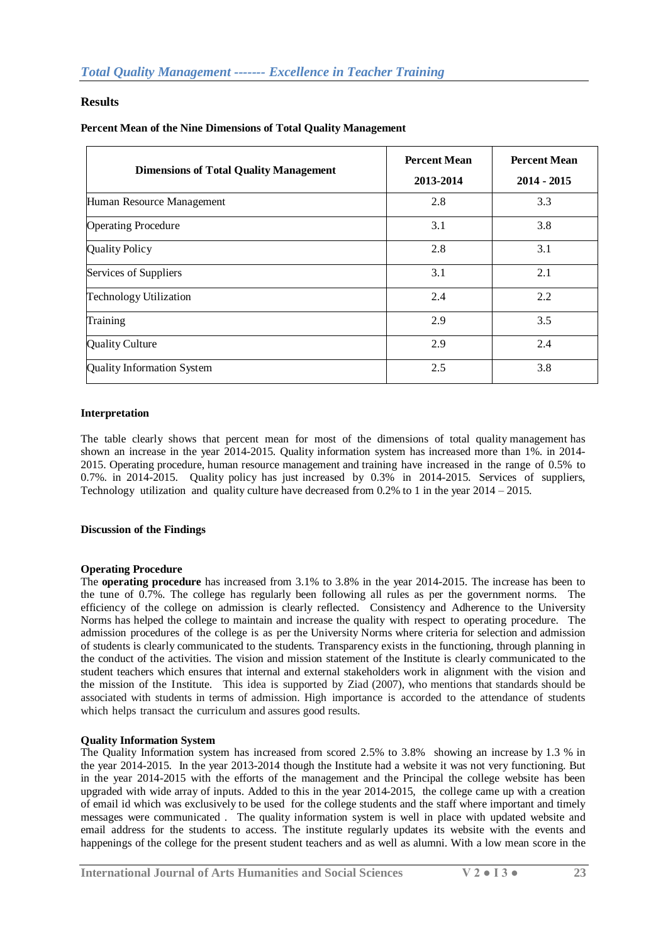## **Results**

## **Percent Mean of the Nine Dimensions of Total Quality Management**

| <b>Dimensions of Total Quality Management</b> | <b>Percent Mean</b><br>2013-2014 | <b>Percent Mean</b><br>$2014 - 2015$ |
|-----------------------------------------------|----------------------------------|--------------------------------------|
| Human Resource Management                     | 2.8                              | 3.3                                  |
| <b>Operating Procedure</b>                    | 3.1                              | 3.8                                  |
| <b>Quality Policy</b>                         | 2.8                              | 3.1                                  |
| Services of Suppliers                         | 3.1                              | 2.1                                  |
| <b>Technology Utilization</b>                 | 2.4                              | 2.2                                  |
| Training                                      | 2.9                              | 3.5                                  |
| Quality Culture                               | 2.9                              | 2.4                                  |
| <b>Quality Information System</b>             | 2.5                              | 3.8                                  |

## **Interpretation**

The table clearly shows that percent mean for most of the dimensions of total quality management has shown an increase in the year 2014-2015. Quality information system has increased more than 1%. in 2014- 2015. Operating procedure, human resource management and training have increased in the range of 0.5% to 0.7%. in 2014-2015. Quality policy has just increased by 0.3% in 2014-2015. Services of suppliers, Technology utilization and quality culture have decreased from 0.2% to 1 in the year 2014 – 2015.

## **Discussion of the Findings**

## **Operating Procedure**

The **operating procedure** has increased from 3.1% to 3.8% in the year 2014-2015. The increase has been to the tune of 0.7%. The college has regularly been following all rules as per the government norms. The efficiency of the college on admission is clearly reflected. Consistency and Adherence to the University Norms has helped the college to maintain and increase the quality with respect to operating procedure. The admission procedures of the college is as per the University Norms where criteria for selection and admission of students is clearly communicated to the students. Transparency exists in the functioning, through planning in the conduct of the activities. The vision and mission statement of the Institute is clearly communicated to the student teachers which ensures that internal and external stakeholders work in alignment with the vision and the mission of the Institute. This idea is supported by Ziad (2007), who mentions that standards should be associated with students in terms of admission. High importance is accorded to the attendance of students which helps transact the curriculum and assures good results.

## **Quality Information System**

The Quality Information system has increased from scored 2.5% to 3.8% showing an increase by 1.3 % in the year 2014-2015. In the year 2013-2014 though the Institute had a website it was not very functioning. But in the year 2014-2015 with the efforts of the management and the Principal the college website has been upgraded with wide array of inputs. Added to this in the year 2014-2015, the college came up with a creation of email id which was exclusively to be used for the college students and the staff where important and timely messages were communicated . The quality information system is well in place with updated website and email address for the students to access. The institute regularly updates its website with the events and happenings of the college for the present student teachers and as well as alumni. With a low mean score in the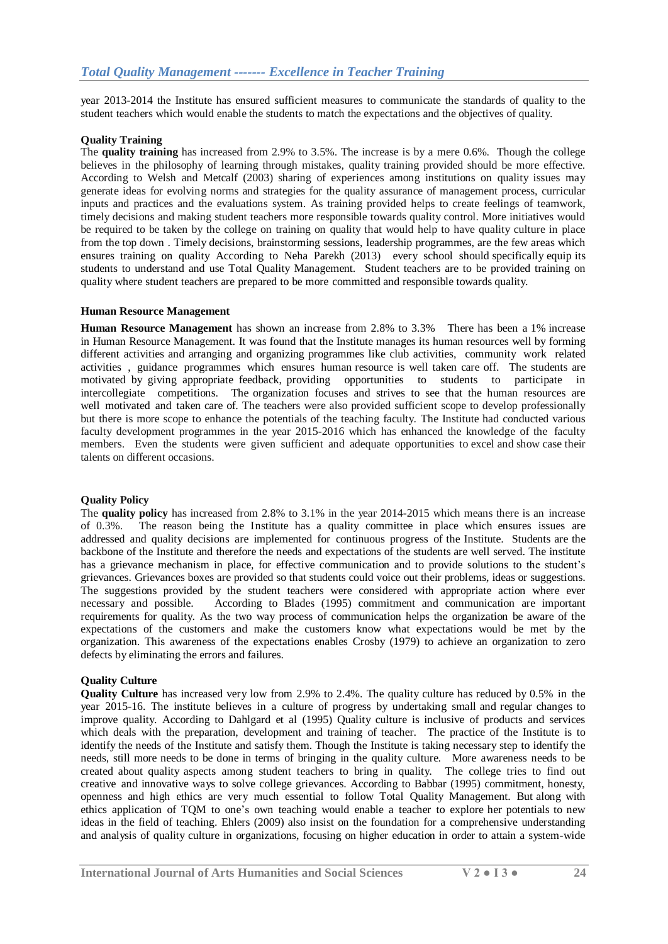year 2013-2014 the Institute has ensured sufficient measures to communicate the standards of quality to the student teachers which would enable the students to match the expectations and the objectives of quality.

## **Quality Training**

The **quality training** has increased from 2.9% to 3.5%. The increase is by a mere 0.6%. Though the college believes in the philosophy of learning through mistakes, quality training provided should be more effective. According to Welsh and Metcalf (2003) sharing of experiences among institutions on quality issues may generate ideas for evolving norms and strategies for the quality assurance of management process, curricular inputs and practices and the evaluations system. As training provided helps to create feelings of teamwork, timely decisions and making student teachers more responsible towards quality control. More initiatives would be required to be taken by the college on training on quality that would help to have quality culture in place from the top down . Timely decisions, brainstorming sessions, leadership programmes, are the few areas which ensures training on quality According to Neha Parekh (2013) every school should specifically equip its students to understand and use Total Quality Management. Student teachers are to be provided training on quality where student teachers are prepared to be more committed and responsible towards quality.

## **Human Resource Management**

**Human Resource Management** has shown an increase from 2.8% to 3.3% There has been a 1% increase in Human Resource Management. It was found that the Institute manages its human resources well by forming different activities and arranging and organizing programmes like club activities, community work related activities , guidance programmes which ensures human resource is well taken care off. The students are motivated by giving appropriate feedback, providing opportunities to students to participate in intercollegiate competitions. The organization focuses and strives to see that the human resources are well motivated and taken care of. The teachers were also provided sufficient scope to develop professionally but there is more scope to enhance the potentials of the teaching faculty. The Institute had conducted various faculty development programmes in the year 2015-2016 which has enhanced the knowledge of the faculty members. Even the students were given sufficient and adequate opportunities to excel and show case their talents on different occasions.

## **Quality Policy**

The **quality policy** has increased from 2.8% to 3.1% in the year 2014-2015 which means there is an increase of 0.3%. The reason being the Institute has a quality committee in place which ensures issues are addressed and quality decisions are implemented for continuous progress of the Institute. Students are the backbone of the Institute and therefore the needs and expectations of the students are well served. The institute has a grievance mechanism in place, for effective communication and to provide solutions to the student's grievances. Grievances boxes are provided so that students could voice out their problems, ideas or suggestions. The suggestions provided by the student teachers were considered with appropriate action where ever necessary and possible. According to Blades (1995) commitment and communication are important requirements for quality. As the two way process of communication helps the organization be aware of the expectations of the customers and make the customers know what expectations would be met by the organization. This awareness of the expectations enables Crosby (1979) to achieve an organization to zero defects by eliminating the errors and failures.

## **Quality Culture**

**Quality Culture** has increased very low from 2.9% to 2.4%. The quality culture has reduced by 0.5% in the year 2015-16. The institute believes in a culture of progress by undertaking small and regular changes to improve quality. According to Dahlgard et al (1995) Quality culture is inclusive of products and services which deals with the preparation, development and training of teacher. The practice of the Institute is to identify the needs of the Institute and satisfy them. Though the Institute is taking necessary step to identify the needs, still more needs to be done in terms of bringing in the quality culture. More awareness needs to be created about quality aspects among student teachers to bring in quality. The college tries to find out creative and innovative ways to solve college grievances. According to Babbar (1995) commitment, honesty, openness and high ethics are very much essential to follow Total Quality Management. But along with ethics application of TQM to one's own teaching would enable a teacher to explore her potentials to new ideas in the field of teaching. Ehlers (2009) also insist on the foundation for a comprehensive understanding and analysis of quality culture in organizations, focusing on higher education in order to attain a system-wide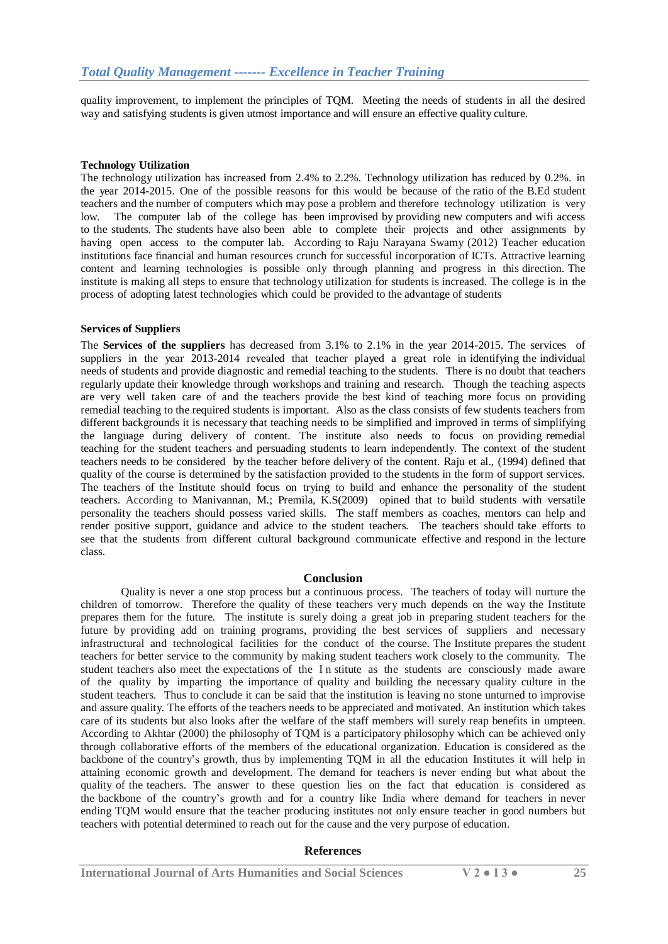quality improvement, to implement the principles of TQM. Meeting the needs of students in all the desired way and satisfying students is given utmost importance and will ensure an effective quality culture.

## **Technology Utilization**

The technology utilization has increased from 2.4% to 2.2%. Technology utilization has reduced by 0.2%. in the year 2014-2015. One of the possible reasons for this would be because of the ratio of the B.Ed student teachers and the number of computers which may pose a problem and therefore technology utilization is very low. The computer lab of the college has been improvised by providing new computers and wifi access to the students. The students have also been able to complete their projects and other assignments by having open access to the computer lab. According to Raju Narayana Swamy (2012) Teacher education institutions face financial and human resources crunch for successful incorporation of ICTs. Attractive learning content and learning technologies is possible only through planning and progress in this direction. The institute is making all steps to ensure that technology utilization for students is increased. The college is in the process of adopting latest technologies which could be provided to the advantage of students

## **Services of Suppliers**

The **Services of the suppliers** has decreased from 3.1% to 2.1% in the year 2014-2015. The services of suppliers in the year 2013-2014 revealed that teacher played a great role in identifying the individual needs of students and provide diagnostic and remedial teaching to the students. There is no doubt that teachers regularly update their knowledge through workshops and training and research. Though the teaching aspects are very well taken care of and the teachers provide the best kind of teaching more focus on providing remedial teaching to the required students is important. Also as the class consists of few students teachers from different backgrounds it is necessary that teaching needs to be simplified and improved in terms of simplifying the language during delivery of content. The institute also needs to focus on providing remedial teaching for the student teachers and persuading students to learn independently. The context of the student teachers needs to be considered by the teacher before delivery of the content. Raju et al., (1994) defined that quality of the course is determined by the satisfaction provided to the students in the form of support services. The teachers of the Institute should focus on trying to build and enhance the personality of the student teachers. According to Manivannan, M.; Premila, K.S(2009) opined that to build students with versatile personality the teachers should possess varied skills. The staff members as coaches, mentors can help and render positive support, guidance and advice to the student teachers. The teachers should take efforts to see that the students from different cultural background communicate effective and respond in the lecture class.

## **Conclusion**

Quality is never a one stop process but a continuous process. The teachers of today will nurture the children of tomorrow. Therefore the quality of these teachers very much depends on the way the Institute prepares them for the future. The institute is surely doing a great job in preparing student teachers for the future by providing add on training programs, providing the best services of suppliers and necessary infrastructural and technological facilities for the conduct of the course. The Institute prepares the student teachers for better service to the community by making student teachers work closely to the community. The student teachers also meet the expectations of the I n stitute as the students are consciously made aware of the quality by imparting the importance of quality and building the necessary quality culture in the student teachers. Thus to conclude it can be said that the institution is leaving no stone unturned to improvise and assure quality. The efforts of the teachers needs to be appreciated and motivated. An institution which takes care of its students but also looks after the welfare of the staff members will surely reap benefits in umpteen. According to Akhtar (2000) the philosophy of TQM is a participatory philosophy which can be achieved only through collaborative efforts of the members of the educational organization. Education is considered as the backbone of the country's growth, thus by implementing TQM in all the education Institutes it will help in attaining economic growth and development. The demand for teachers is never ending but what about the quality of the teachers. The answer to these question lies on the fact that education is considered as the backbone of the country's growth and for a country like India where demand for teachers in never ending TQM would ensure that the teacher producing institutes not only ensure teacher in good numbers but teachers with potential determined to reach out for the cause and the very purpose of education.

## **References**